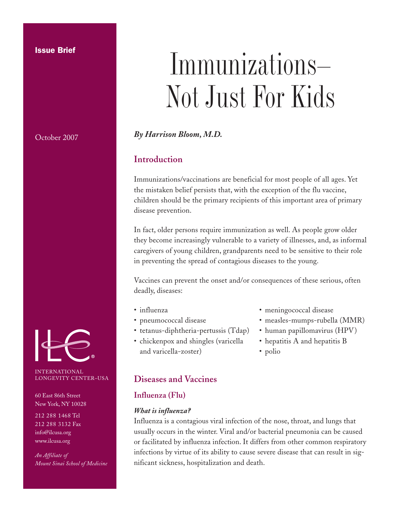### **Issue Brief**

October 2007

INTERNATIONAL LONGEVITY CENTER–USA

60 East 86th Street New York, NY 10028

212 288 1468 Tel 212 288 3132 Fax info@ilcusa.org www.ilcusa.org

*An Affiliate of Mount Sinai School of Medicine*

# Immunizations— Not Just For Kids

*By Harrison Bloom, M.D.*

# **Introduction**

Immunizations/vaccinations are beneficial for most people of all ages. Yet the mistaken belief persists that, with the exception of the flu vaccine, children should be the primary recipients of this important area of primary disease prevention.

In fact, older persons require immunization as well. As people grow older they become increasingly vulnerable to a variety of illnesses, and, as informal caregivers of young children, grandparents need to be sensitive to their role in preventing the spread of contagious diseases to the young.

Vaccines can prevent the onset and/or consequences of these serious, often deadly, diseases:

- influenza
- pneumococcal disease
- tetanus-diphtheria-pertussis (Tdap)
- chickenpox and shingles (varicella and varicella-zoster)
- meningococcal disease
- measles-mumps-rubella (MMR)
- human papillomavirus (HPV)
- hepatitis A and hepatitis B
- polio

# **Diseases and Vaccines**

# **Influenza (Flu)**

### *What is influenza?*

Influenza is a contagious viral infection of the nose, throat, and lungs that usually occurs in the winter. Viral and/or bacterial pneumonia can be caused or facilitated by influenza infection. It differs from other common respiratory infections by virtue of its ability to cause severe disease that can result in significant sickness, hospitalization and death.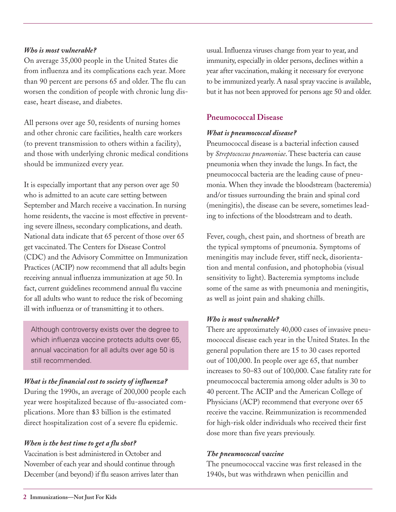### *Who is most vulnerable?*

On average 35,000 people in the United States die from influenza and its complications each year. More than 90 percent are persons 65 and older. The flu can worsen the condition of people with chronic lung disease, heart disease, and diabetes.

All persons over age 50, residents of nursing homes and other chronic care facilities, health care workers (to prevent transmission to others within a facility), and those with underlying chronic medical conditions should be immunized every year.

It is especially important that any person over age 50 who is admitted to an acute care setting between September and March receive a vaccination. In nursing home residents, the vaccine is most effective in preventing severe illness, secondary complications, and death. National data indicate that 65 percent of those over 65 get vaccinated. The Centers for Disease Control (CDC) and the Advisory Committee on Immunization Practices (ACIP) now recommend that all adults begin receiving annual influenza immunization at age 50. In fact, current guidelines recommend annual flu vaccine for all adults who want to reduce the risk of becoming ill with influenza or of transmitting it to others.

Although controversy exists over the degree to which influenza vaccine protects adults over 65, annual vaccination for all adults over age 50 is still recommended.

# *What is the financial cost to society of influenza?*

During the 1990s, an average of 200,000 people each year were hospitalized because of flu-associated complications. More than \$3 billion is the estimated direct hospitalization cost of a severe flu epidemic.

# *When is the best time to get a flu shot?*

Vaccination is best administered in October and November of each year and should continue through December (and beyond) if flu season arrives later than usual.Influenza viruses change from year to year, and immunity, especially in older persons, declines within a year after vaccination, making it necessary for everyone to be immunized yearly. A nasal spray vaccine is available, but it has not been approved for persons age 50 and older.

# **Pneumococcal Disease**

### *What is pneumococcal disease?*

Pneumococcal disease is a bacterial infection caused by *Streptococcus pneumoniae*. These bacteria can cause pneumonia when they invade the lungs. In fact, the pneumococcal bacteria are the leading cause of pneumonia. When they invade the bloodstream (bacteremia) and/or tissues surrounding the brain and spinal cord (meningitis), the disease can be severe, sometimes leading to infections of the bloodstream and to death.

Fever, cough, chest pain, and shortness of breath are the typical symptoms of pneumonia. Symptoms of meningitis may include fever, stiff neck, disorientation and mental confusion, and photophobia (visual sensitivity to light). Bacteremia symptoms include some of the same as with pneumonia and meningitis, as well as joint pain and shaking chills.

# *Who is most vulnerable?*

There are approximately 40,000 cases of invasive pneumococcal disease each year in the United States. In the general population there are 15 to 30 cases reported out of 100,000. In people over age 65, that number increases to 50–83 out of 100,000. Case fatality rate for pneumococcal bacteremia among older adults is 30 to 40 percent. The ACIP and the American College of Physicians (ACP) recommend that everyone over 65 receive the vaccine. Reimmunization is recommended for high-risk older individuals who received their first dose more than five years previously.

### *The pneumococcal vaccine*

The pneumococcal vaccine was first released in the 1940s, but was withdrawn when penicillin and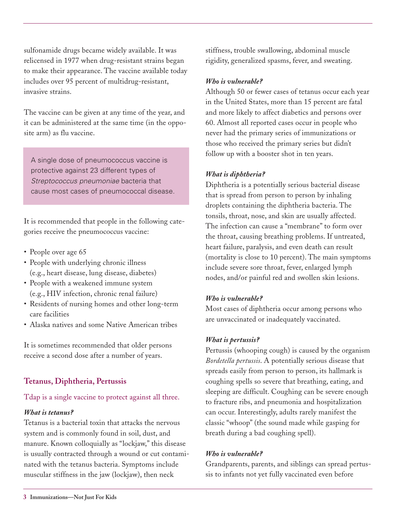sulfonamide drugs became widely available. It was relicensed in 1977 when drug-resistant strains began to make their appearance. The vaccine available today includes over 95 percent of multidrug-resistant, invasive strains.

The vaccine can be given at any time of the year, and it can be administered at the same time (in the opposite arm) as flu vaccine.

A single dose of pneumococcus vaccine is protective against 23 different types of *Streptococcus pneumoniae* bacteria that cause most cases of pneumococcal disease.

It is recommended that people in the following categories receive the pneumococcus vaccine:

- People over age 65
- People with underlying chronic illness (e.g., heart disease, lung disease, diabetes)
- People with a weakened immune system (e.g., HIV infection, chronic renal failure)
- Residents of nursing homes and other long-term care facilities
- Alaska natives and some Native American tribes

It is sometimes recommended that older persons receive a second dose after a number of years.

# **Tetanus, Diphtheria, Pertussis**

# Tdap is a single vaccine to protect against all three.

### *What is tetanus?*

Tetanus is a bacterial toxin that attacks the nervous system and is commonly found in soil, dust, and manure. Known colloquially as "lockjaw," this disease is usually contracted through a wound or cut contaminated with the tetanus bacteria. Symptoms include muscular stiffness in the jaw (lockjaw), then neck

stiffness, trouble swallowing, abdominal muscle rigidity, generalized spasms, fever, and sweating.

### *Who is vulnerable?*

Although 50 or fewer cases of tetanus occur each year in the United States, more than 15 percent are fatal and more likely to affect diabetics and persons over 60. Almost all reported cases occur in people who never had the primary series of immunizations or those who received the primary series but didn't follow up with a booster shot in ten years.

### *What is diphtheria?*

Diphtheria is a potentially serious bacterial disease that is spread from person to person by inhaling droplets containing the diphtheria bacteria. The tonsils, throat, nose, and skin are usually affected. The infection can cause a "membrane" to form over the throat, causing breathing problems. If untreated, heart failure, paralysis, and even death can result (mortality is close to 10 percent). The main symptoms include severe sore throat, fever, enlarged lymph nodes, and/or painful red and swollen skin lesions.

### *Who is vulnerable?*

Most cases of diphtheria occur among persons who are unvaccinated or inadequately vaccinated.

### *What is pertussis?*

Pertussis (whooping cough) is caused by the organism *Bordetella pertussis*. A potentially serious disease that spreads easily from person to person, its hallmark is coughing spells so severe that breathing, eating, and sleeping are difficult. Coughing can be severe enough to fracture ribs, and pneumonia and hospitalization can occur. Interestingly, adults rarely manifest the classic "whoop" (the sound made while gasping for breath during a bad coughing spell).

### *Who is vulnerable?*

Grandparents, parents, and siblings can spread pertussis to infants not yet fully vaccinated even before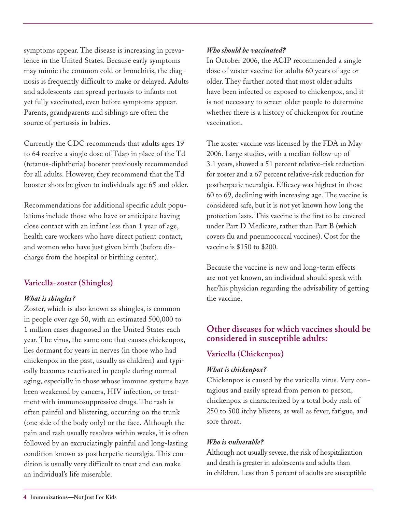symptoms appear. The disease is increasing in prevalence in the United States. Because early symptoms may mimic the common cold or bronchitis, the diagnosis is frequently difficult to make or delayed. Adults and adolescents can spread pertussis to infants not yet fully vaccinated, even before symptoms appear. Parents, grandparents and siblings are often the source of pertussis in babies.

Currently the CDC recommends that adults ages 19 to 64 receive a single dose of Tdap in place of the Td (tetanus-diphtheria) booster previously recommended for all adults. However, they recommend that the Td booster shots be given to individuals age 65 and older.

Recommendations for additional specific adult populations include those who have or anticipate having close contact with an infant less than 1 year of age, health care workers who have direct patient contact, and women who have just given birth (before discharge from the hospital or birthing center).

# **Varicella-zoster (Shingles)**

# *What is shingles?*

Zoster, which is also known as shingles, is common in people over age 50, with an estimated 500,000 to 1 million cases diagnosed in the United States each year. The virus, the same one that causes chickenpox, lies dormant for years in nerves (in those who had chickenpox in the past, usually as children) and typically becomes reactivated in people during normal aging, especially in those whose immune systems have been weakened by cancers, HIV infection, or treatment with immunosuppressive drugs. The rash is often painful and blistering, occurring on the trunk (one side of the body only) or the face. Although the pain and rash usually resolves within weeks, it is often followed by an excruciatingly painful and long-lasting condition known as postherpetic neuralgia. This condition is usually very difficult to treat and can make an individual's life miserable.

### *Who should be vaccinated?*

In October 2006, the ACIP recommended a single dose of zoster vaccine for adults 60 years of age or older. They further noted that most older adults have been infected or exposed to chickenpox, and it is not necessary to screen older people to determine whether there is a history of chickenpox for routine vaccination.

The zoster vaccine was licensed by the FDA in May 2006. Large studies, with a median follow-up of 3.1 years, showed a 51 percent relative-risk reduction for zoster and a 67 percent relative-risk reduction for postherpetic neuralgia. Efficacy was highest in those 60 to 69, declining with increasing age. The vaccine is considered safe, but it is not yet known how long the protection lasts. This vaccine is the first to be covered under Part D Medicare, rather than Part B (which covers flu and pneumococcal vaccines). Cost for the vaccine is \$150 to \$200.

Because the vaccine is new and long-term effects are not yet known, an individual should speak with her/his physician regarding the advisability of getting the vaccine.

# **Other diseases for which vaccines should be considered in susceptible adults:**

# **Varicella (Chickenpox)**

# *What is chickenpox?*

Chickenpox is caused by the varicella virus. Very contagious and easily spread from person to person, chickenpox is characterized by a total body rash of 250 to 500 itchy blisters, as well as fever, fatigue, and sore throat.

# *Who is vulnerable?*

Although not usually severe, the risk of hospitalization and death is greater in adolescents and adults than in children. Less than 5 percent of adults are susceptible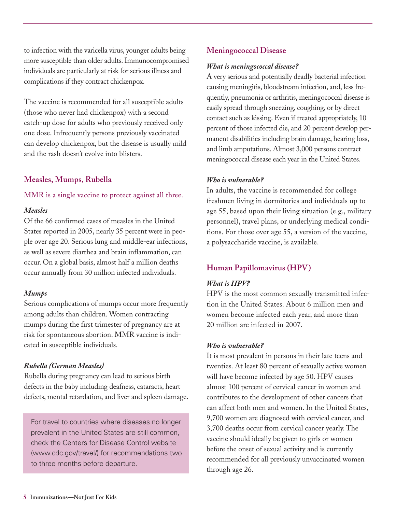to infection with the varicella virus, younger adults being more susceptible than older adults.Immunocompromised individuals are particularly at risk for serious illness and complications if they contract chickenpox.

The vaccine is recommended for all susceptible adults (those who never had chickenpox) with a second catch-up dose for adults who previously received only one dose. Infrequently persons previously vaccinated can develop chickenpox, but the disease is usually mild and the rash doesn't evolve into blisters.

# **Measles, Mumps, Rubella**

### MMR is a single vaccine to protect against all three.

### *Measles*

Of the 66 confirmed cases of measles in the United States reported in 2005, nearly 35 percent were in people over age 20. Serious lung and middle-ear infections, as well as severe diarrhea and brain inflammation, can occur. On a global basis, almost half a million deaths occur annually from 30 million infected individuals.

# *Mumps*

Serious complications of mumps occur more frequently among adults than children. Women contracting mumps during the first trimester of pregnancy are at risk for spontaneous abortion. MMR vaccine is indicated in susceptible individuals.

# *Rubella (German Measles)*

Rubella during pregnancy can lead to serious birth defects in the baby including deafness, cataracts, heart defects, mental retardation, and liver and spleen damage.

For travel to countries where diseases no longer prevalent in the United States are still common, check the Centers for Disease Control website (www.cdc.gov/travel/) for recommendations two to three months before departure.

# **Meningococcal Disease**

### *What is meningococcal disease?*

A very serious and potentially deadly bacterial infection causing meningitis, bloodstream infection, and, less frequently, pneumonia or arthritis, meningococcal disease is easily spread through sneezing, coughing, or by direct contact such as kissing. Even if treated appropriately, 10 percent of those infected die, and 20 percent develop permanent disabilities including brain damage, hearing loss, and limb amputations. Almost 3,000 persons contract meningococcal disease each year in the United States.

# *Who is vulnerable?*

In adults, the vaccine is recommended for college freshmen living in dormitories and individuals up to age 55, based upon their living situation (e.g., military personnel), travel plans, or underlying medical conditions. For those over age 55, a version of the vaccine, a polysaccharide vaccine, is available.

# **Human Papillomavirus (HPV)**

# *What is HPV?*

HPV is the most common sexually transmitted infection in the United States. About 6 million men and women become infected each year, and more than 20 million are infected in 2007.

# *Who is vulnerable?*

It is most prevalent in persons in their late teens and twenties. At least 80 percent of sexually active women will have become infected by age 50. HPV causes almost 100 percent of cervical cancer in women and contributes to the development of other cancers that can affect both men and women. In the United States, 9,700 women are diagnosed with cervical cancer, and 3,700 deaths occur from cervical cancer yearly. The vaccine should ideally be given to girls or women before the onset of sexual activity and is currently recommended for all previously unvaccinated women through age 26.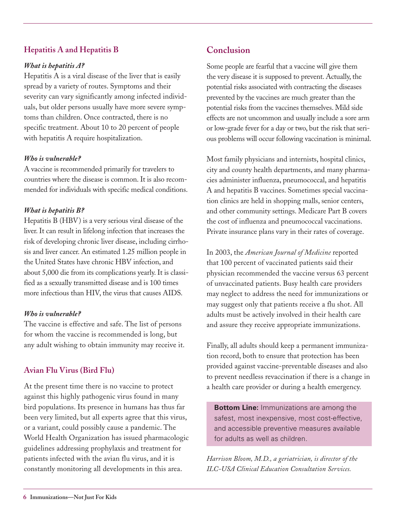# **Hepatitis A and Hepatitis B**

# *What is hepatitis A?*

Hepatitis A is a viral disease of the liver that is easily spread by a variety of routes. Symptoms and their severity can vary significantly among infected individuals, but older persons usually have more severe symptoms than children. Once contracted, there is no specific treatment. About 10 to 20 percent of people with hepatitis A require hospitalization.

# *Who is vulnerable?*

A vaccine is recommended primarily for travelers to countries where the disease is common. It is also recommended for individuals with specific medical conditions.

# *What is hepatitis B?*

Hepatitis B (HBV) is a very serious viral disease of the liver. It can result in lifelong infection that increases the risk of developing chronic liver disease, including cirrhosis and liver cancer. An estimated 1.25 million people in the United States have chronic HBV infection, and about 5,000 die from its complications yearly. It is classified as a sexually transmitted disease and is 100 times more infectious than HIV, the virus that causes AIDS.

# *Who is vulnerable?*

The vaccine is effective and safe. The list of persons for whom the vaccine is recommended is long, but any adult wishing to obtain immunity may receive it.

# **Avian Flu Virus (Bird Flu)**

At the present time there is no vaccine to protect against this highly pathogenic virus found in many bird populations. Its presence in humans has thus far been very limited, but all experts agree that this virus, or a variant, could possibly cause a pandemic. The World Health Organization has issued pharmacologic guidelines addressing prophylaxis and treatment for patients infected with the avian flu virus, and it is constantly monitoring all developments in this area.

# **Conclusion**

Some people are fearful that a vaccine will give them the very disease it is supposed to prevent. Actually, the potential risks associated with contracting the diseases prevented by the vaccines are much greater than the potential risks from the vaccines themselves. Mild side effects are not uncommon and usually include a sore arm or low-grade fever for a day or two, but the risk that serious problems will occur following vaccination is minimal.

Most family physicians and internists, hospital clinics, city and county health departments, and many pharmacies administer influenza, pneumococcal, and hepatitis A and hepatitis B vaccines. Sometimes special vaccination clinics are held in shopping malls, senior centers, and other community settings. Medicare Part B covers the cost of influenza and pneumococcal vaccinations. Private insurance plans vary in their rates of coverage.

In 2003, the *American Journal of Medicine* reported that 100 percent of vaccinated patients said their physician recommended the vaccine versus 63 percent of unvaccinated patients. Busy health care providers may neglect to address the need for immunizations or may suggest only that patients receive a flu shot. All adults must be actively involved in their health care and assure they receive appropriate immunizations.

Finally, all adults should keep a permanent immunization record, both to ensure that protection has been provided against vaccine-preventable diseases and also to prevent needless revaccination if there is a change in a health care provider or during a health emergency.

**Bottom Line:** Immunizations are among the safest, most inexpensive, most cost-effective, and accessible preventive measures available for adults as well as children.

*Harrison Bloom, M.D., a geriatrician, is director of the ILC-USA Clinical Education Consultation Services.*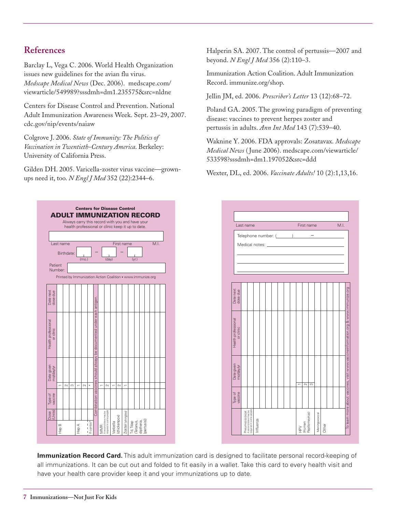# **References**

Barclay L, Vega C. 2006. World Health Organization issues new guidelines for the avian flu virus. *Medscape Medical News* (Dec. 2006). medscape.com/ viewarticle/549989?sssdmh=dm1.235575&src=nldne

Centers for Disease Control and Prevention. National Adult Immunization Awareness Week. Sept. 23–29, 2007. cdc.gov/nip/events/naiaw

Colgrove J. 2006. *State of Immunity:The Politics of Vaccination in Twentieth-Century America*. Berkeley: University of California Press.

Gilden DH. 2005. Varicella-zoster virus vaccine—grownups need it, too. *N Engl J Med* 352 (22):2344–6.

> **Centers for D sease Contro ADULT IMMUNIZATION RECORD** Always carry this record with you and have your health professional or clinic keep it up to date. Last name First name  $M.I.$ Birthdate mo day) (y Patient **Number** Printed by Immunization Action Coalition • www.immunize.org Date next dose due Combination vaccines should always be documented under each antigen Health professional<br>or clinic Health professional Date given mo/day/yr  $\scriptstyle\sim$  $\scriptstyle\sim$  $\scriptstyle\sim$  $\scriptstyle\sim$ Hep B 1 Type of vaccine Dose (Units) oster (shingles) quired in some peopl Zoster (shingles) Varlcella<br>(chickenpox) A second dose may b (chickenpox) Td, Tdap<br>(Tetanus,<br>diptheria,<br>[pertusis]) Hep A If combo Hep B  $\widetilde{\Xi}$

Halperin SA. 2007. The control of pertussis—2007 and beyond. *N Engl J Med* 356 (2):110–3.

Immunization Action Coalition. Adult Immunization Record. immunize.org/shop.

Jellin JM, ed. 2006. *Prescriber's Letter* 13 (12):68–72.

Poland GA. 2005. The growing paradigm of preventing disease: vaccines to prevent herpes zoster and pertussis in adults. *Ann Int Med* 143 (7):539–40.

Waknine Y. 2006. FDA approvals: Zosatavax. *Medscape Medical News* (June 2006). medscape.com/viewarticle/ 533598?sssdmh=dm1.197052&src=ddd

Wexter, DL, ed. 2006. *Vaccinate Adults!* 10 (2):1,13,16.



**Immunization Record Card.** This adult immunization card is designed to facilitate personal record-keeping of all immunizations. It can be cut out and folded to fit easily in a wallet. Take this card to every health visit and have your health care provider keep it and your immunizations up to date.